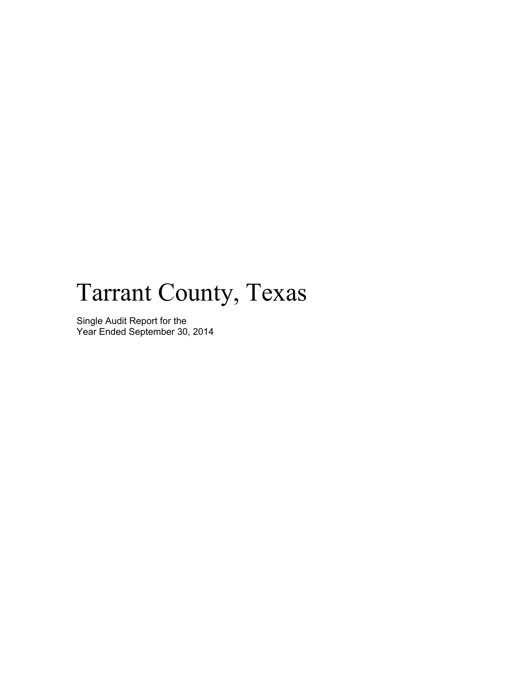# Tarrant County, Texas

Single Audit Report for the Year Ended September 30, 2014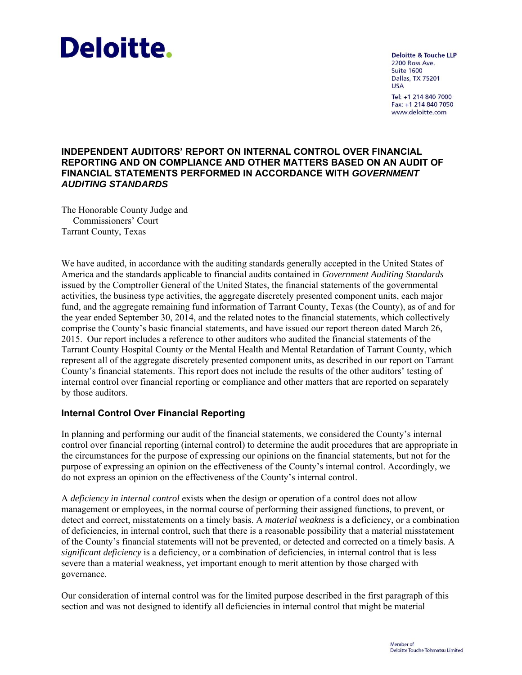# **Deloitte.**

**Deloitte & Touche LLP** 2200 Ross Ave. **Suite 1600 Dallas, TX 75201 USA** Tel: +1 214 840 7000 Fax: +1 214 840 7050 www.deloitte.com

#### **INDEPENDENT AUDITORS' REPORT ON INTERNAL CONTROL OVER FINANCIAL REPORTING AND ON COMPLIANCE AND OTHER MATTERS BASED ON AN AUDIT OF FINANCIAL STATEMENTS PERFORMED IN ACCORDANCE WITH** *GOVERNMENT AUDITING STANDARDS*

The Honorable County Judge and Commissioners' Court Tarrant County, Texas

We have audited, in accordance with the auditing standards generally accepted in the United States of America and the standards applicable to financial audits contained in *Government Auditing Standards*  issued by the Comptroller General of the United States, the financial statements of the governmental activities, the business type activities, the aggregate discretely presented component units, each major fund, and the aggregate remaining fund information of Tarrant County, Texas (the County), as of and for the year ended September 30, 2014, and the related notes to the financial statements, which collectively comprise the County's basic financial statements, and have issued our report thereon dated March 26, 2015. Our report includes a reference to other auditors who audited the financial statements of the Tarrant County Hospital County or the Mental Health and Mental Retardation of Tarrant County, which represent all of the aggregate discretely presented component units, as described in our report on Tarrant County's financial statements. This report does not include the results of the other auditors' testing of internal control over financial reporting or compliance and other matters that are reported on separately by those auditors.

# **Internal Control Over Financial Reporting**

In planning and performing our audit of the financial statements, we considered the County's internal control over financial reporting (internal control) to determine the audit procedures that are appropriate in the circumstances for the purpose of expressing our opinions on the financial statements, but not for the purpose of expressing an opinion on the effectiveness of the County's internal control. Accordingly, we do not express an opinion on the effectiveness of the County's internal control.

A *deficiency in internal control* exists when the design or operation of a control does not allow management or employees, in the normal course of performing their assigned functions, to prevent, or detect and correct, misstatements on a timely basis. A *material weakness* is a deficiency, or a combination of deficiencies, in internal control, such that there is a reasonable possibility that a material misstatement of the County's financial statements will not be prevented, or detected and corrected on a timely basis. A *significant deficiency* is a deficiency, or a combination of deficiencies, in internal control that is less severe than a material weakness, yet important enough to merit attention by those charged with governance.

Our consideration of internal control was for the limited purpose described in the first paragraph of this section and was not designed to identify all deficiencies in internal control that might be material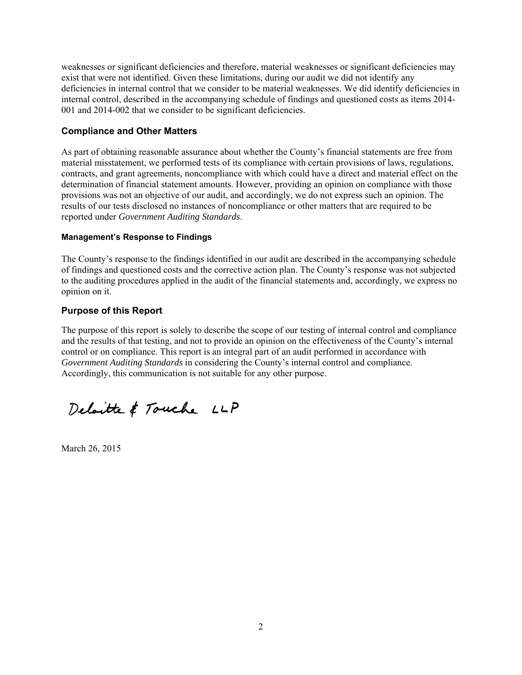weaknesses or significant deficiencies and therefore, material weaknesses or significant deficiencies may exist that were not identified. Given these limitations, during our audit we did not identify any deficiencies in internal control that we consider to be material weaknesses. We did identify deficiencies in internal control, described in the accompanying schedule of findings and questioned costs as items 2014- 001 and 2014-002 that we consider to be significant deficiencies.

#### **Compliance and Other Matters**

As part of obtaining reasonable assurance about whether the County's financial statements are free from material misstatement, we performed tests of its compliance with certain provisions of laws, regulations, contracts, and grant agreements, noncompliance with which could have a direct and material effect on the determination of financial statement amounts. However, providing an opinion on compliance with those provisions was not an objective of our audit, and accordingly, we do not express such an opinion. The results of our tests disclosed no instances of noncompliance or other matters that are required to be reported under *Government Auditing Standards*.

#### **Management's Response to Findings**

The County's response to the findings identified in our audit are described in the accompanying schedule of findings and questioned costs and the corrective action plan. The County's response was not subjected to the auditing procedures applied in the audit of the financial statements and, accordingly, we express no opinion on it.

#### **Purpose of this Report**

The purpose of this report is solely to describe the scope of our testing of internal control and compliance and the results of that testing, and not to provide an opinion on the effectiveness of the County's internal control or on compliance. This report is an integral part of an audit performed in accordance with *Government Auditing Standards* in considering the County's internal control and compliance. Accordingly, this communication is not suitable for any other purpose.

Deloitte & Touche LLP

March 26, 2015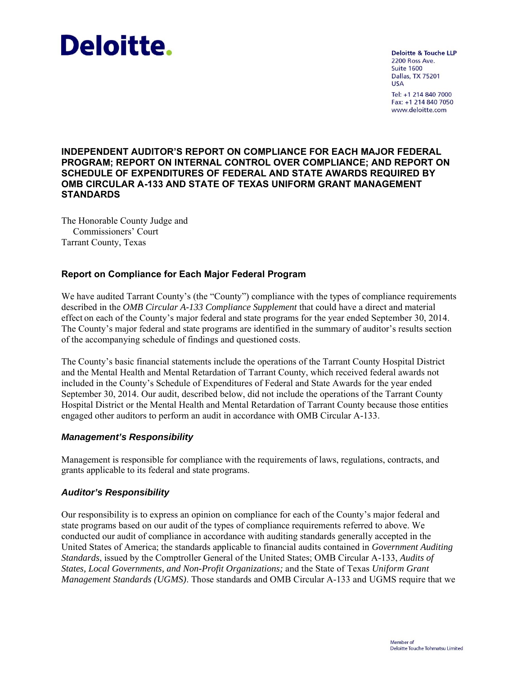# Deloitte.

**Deloitte & Touche LLP** 2200 Ross Ave. **Suite 1600** Dallas, TX 75201 **USA** Tel: +1 214 840 7000 Fax: +1 214 840 7050 www.deloitte.com

#### **INDEPENDENT AUDITOR'S REPORT ON COMPLIANCE FOR EACH MAJOR FEDERAL PROGRAM; REPORT ON INTERNAL CONTROL OVER COMPLIANCE; AND REPORT ON SCHEDULE OF EXPENDITURES OF FEDERAL AND STATE AWARDS REQUIRED BY OMB CIRCULAR A-133 AND STATE OF TEXAS UNIFORM GRANT MANAGEMENT STANDARDS**

The Honorable County Judge and Commissioners' Court Tarrant County, Texas

# **Report on Compliance for Each Major Federal Program**

We have audited Tarrant County's (the "County") compliance with the types of compliance requirements described in the *OMB Circular A-133 Compliance Supplement* that could have a direct and material effect on each of the County's major federal and state programs for the year ended September 30, 2014. The County's major federal and state programs are identified in the summary of auditor's results section of the accompanying schedule of findings and questioned costs.

The County's basic financial statements include the operations of the Tarrant County Hospital District and the Mental Health and Mental Retardation of Tarrant County, which received federal awards not included in the County's Schedule of Expenditures of Federal and State Awards for the year ended September 30, 2014. Our audit, described below, did not include the operations of the Tarrant County Hospital District or the Mental Health and Mental Retardation of Tarrant County because those entities engaged other auditors to perform an audit in accordance with OMB Circular A-133.

# *Management's Responsibility*

Management is responsible for compliance with the requirements of laws, regulations, contracts, and grants applicable to its federal and state programs.

# *Auditor's Responsibility*

Our responsibility is to express an opinion on compliance for each of the County's major federal and state programs based on our audit of the types of compliance requirements referred to above. We conducted our audit of compliance in accordance with auditing standards generally accepted in the United States of America; the standards applicable to financial audits contained in *Government Auditing Standards*, issued by the Comptroller General of the United States; OMB Circular A-133, *Audits of States, Local Governments, and Non-Profit Organizations;* and the State of Texas *Uniform Grant Management Standards (UGMS)*. Those standards and OMB Circular A-133 and UGMS require that we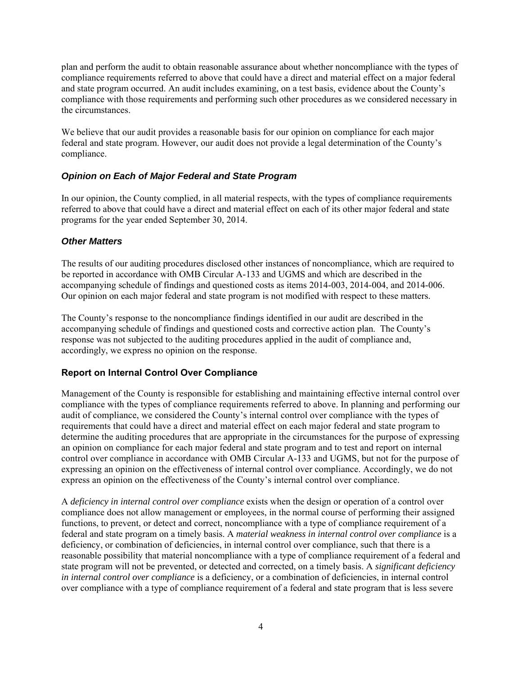plan and perform the audit to obtain reasonable assurance about whether noncompliance with the types of compliance requirements referred to above that could have a direct and material effect on a major federal and state program occurred. An audit includes examining, on a test basis, evidence about the County's compliance with those requirements and performing such other procedures as we considered necessary in the circumstances.

We believe that our audit provides a reasonable basis for our opinion on compliance for each major federal and state program. However, our audit does not provide a legal determination of the County's compliance.

# *Opinion on Each of Major Federal and State Program*

In our opinion, the County complied, in all material respects, with the types of compliance requirements referred to above that could have a direct and material effect on each of its other major federal and state programs for the year ended September 30, 2014.

#### *Other Matters*

The results of our auditing procedures disclosed other instances of noncompliance, which are required to be reported in accordance with OMB Circular A-133 and UGMS and which are described in the accompanying schedule of findings and questioned costs as items 2014-003, 2014-004, and 2014-006. Our opinion on each major federal and state program is not modified with respect to these matters.

The County's response to the noncompliance findings identified in our audit are described in the accompanying schedule of findings and questioned costs and corrective action plan. The County's response was not subjected to the auditing procedures applied in the audit of compliance and, accordingly, we express no opinion on the response.

# **Report on Internal Control Over Compliance**

Management of the County is responsible for establishing and maintaining effective internal control over compliance with the types of compliance requirements referred to above. In planning and performing our audit of compliance, we considered the County's internal control over compliance with the types of requirements that could have a direct and material effect on each major federal and state program to determine the auditing procedures that are appropriate in the circumstances for the purpose of expressing an opinion on compliance for each major federal and state program and to test and report on internal control over compliance in accordance with OMB Circular A-133 and UGMS, but not for the purpose of expressing an opinion on the effectiveness of internal control over compliance. Accordingly, we do not express an opinion on the effectiveness of the County's internal control over compliance.

A *deficiency in internal control over compliance* exists when the design or operation of a control over compliance does not allow management or employees, in the normal course of performing their assigned functions, to prevent, or detect and correct, noncompliance with a type of compliance requirement of a federal and state program on a timely basis. A *material weakness in internal control over compliance* is a deficiency, or combination of deficiencies, in internal control over compliance, such that there is a reasonable possibility that material noncompliance with a type of compliance requirement of a federal and state program will not be prevented, or detected and corrected, on a timely basis. A *significant deficiency in internal control over compliance* is a deficiency, or a combination of deficiencies, in internal control over compliance with a type of compliance requirement of a federal and state program that is less severe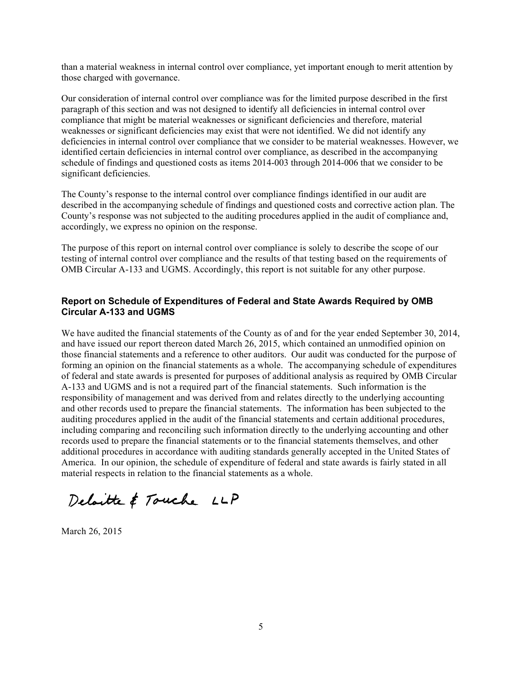than a material weakness in internal control over compliance, yet important enough to merit attention by those charged with governance.

Our consideration of internal control over compliance was for the limited purpose described in the first paragraph of this section and was not designed to identify all deficiencies in internal control over compliance that might be material weaknesses or significant deficiencies and therefore, material weaknesses or significant deficiencies may exist that were not identified. We did not identify any deficiencies in internal control over compliance that we consider to be material weaknesses. However, we identified certain deficiencies in internal control over compliance, as described in the accompanying schedule of findings and questioned costs as items 2014-003 through 2014-006 that we consider to be significant deficiencies.

The County's response to the internal control over compliance findings identified in our audit are described in the accompanying schedule of findings and questioned costs and corrective action plan. The County's response was not subjected to the auditing procedures applied in the audit of compliance and, accordingly, we express no opinion on the response.

The purpose of this report on internal control over compliance is solely to describe the scope of our testing of internal control over compliance and the results of that testing based on the requirements of OMB Circular A-133 and UGMS. Accordingly, this report is not suitable for any other purpose.

#### **Report on Schedule of Expenditures of Federal and State Awards Required by OMB Circular A-133 and UGMS**

We have audited the financial statements of the County as of and for the year ended September 30, 2014, and have issued our report thereon dated March 26, 2015, which contained an unmodified opinion on those financial statements and a reference to other auditors. Our audit was conducted for the purpose of forming an opinion on the financial statements as a whole. The accompanying schedule of expenditures of federal and state awards is presented for purposes of additional analysis as required by OMB Circular A-133 and UGMS and is not a required part of the financial statements. Such information is the responsibility of management and was derived from and relates directly to the underlying accounting and other records used to prepare the financial statements. The information has been subjected to the auditing procedures applied in the audit of the financial statements and certain additional procedures, including comparing and reconciling such information directly to the underlying accounting and other records used to prepare the financial statements or to the financial statements themselves, and other additional procedures in accordance with auditing standards generally accepted in the United States of America. In our opinion, the schedule of expenditure of federal and state awards is fairly stated in all material respects in relation to the financial statements as a whole.

Deloitte & Touche LLP

March 26, 2015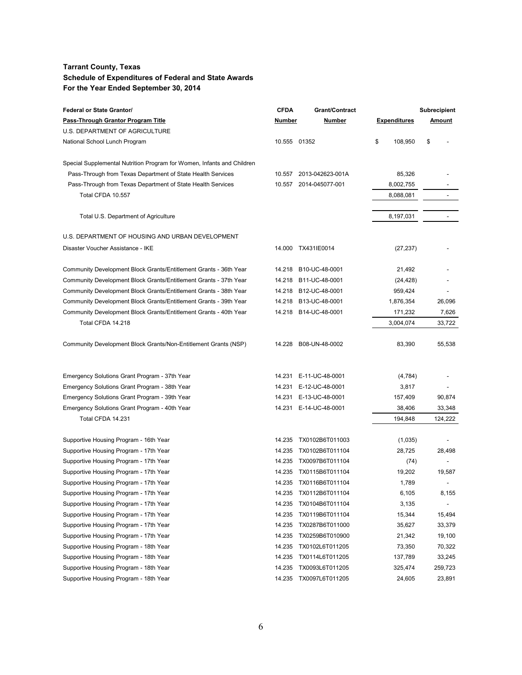| <b>Federal or State Grantor/</b>                                       | <b>CFDA</b>  | <b>Grant/Contract</b>  |                     | <b>Subrecipient</b>      |
|------------------------------------------------------------------------|--------------|------------------------|---------------------|--------------------------|
| Pass-Through Grantor Program Title                                     | Number       | Number                 | <b>Expenditures</b> | Amount                   |
| U.S. DEPARTMENT OF AGRICULTURE                                         |              |                        |                     |                          |
| National School Lunch Program                                          | 10.555 01352 |                        | \$<br>108,950       | \$                       |
| Special Supplemental Nutrition Program for Women, Infants and Children |              |                        |                     |                          |
| Pass-Through from Texas Department of State Health Services            | 10.557       | 2013-042623-001A       | 85,326              |                          |
| Pass-Through from Texas Department of State Health Services            | 10.557       | 2014-045077-001        | 8,002,755           |                          |
| Total CFDA 10.557                                                      |              |                        | 8,088,081           |                          |
| Total U.S. Department of Agriculture                                   |              |                        | 8,197,031           |                          |
|                                                                        |              |                        |                     |                          |
| U.S. DEPARTMENT OF HOUSING AND URBAN DEVELOPMENT                       |              |                        |                     |                          |
| Disaster Voucher Assistance - IKE                                      | 14.000       | TX431IE0014            | (27, 237)           |                          |
| Community Development Block Grants/Entitlement Grants - 36th Year      | 14.218       | B10-UC-48-0001         | 21,492              |                          |
| Community Development Block Grants/Entitlement Grants - 37th Year      | 14.218       | B11-UC-48-0001         | (24, 428)           |                          |
| Community Development Block Grants/Entitlement Grants - 38th Year      | 14.218       | B12-UC-48-0001         | 959,424             |                          |
| Community Development Block Grants/Entitlement Grants - 39th Year      | 14.218       | B13-UC-48-0001         | 1,876,354           | 26,096                   |
| Community Development Block Grants/Entitlement Grants - 40th Year      | 14.218       | B14-UC-48-0001         | 171,232             | 7,626                    |
| Total CFDA 14.218                                                      |              |                        | 3,004,074           | 33,722                   |
| Community Development Block Grants/Non-Entitlement Grants (NSP)        | 14.228       | B08-UN-48-0002         | 83,390              | 55,538                   |
|                                                                        |              |                        |                     |                          |
| Emergency Solutions Grant Program - 37th Year                          |              | 14.231 E-11-UC-48-0001 | (4,784)             |                          |
| Emergency Solutions Grant Program - 38th Year                          |              | 14.231 E-12-UC-48-0001 | 3,817               |                          |
| Emergency Solutions Grant Program - 39th Year                          | 14.231       | E-13-UC-48-0001        | 157,409             | 90,874                   |
| Emergency Solutions Grant Program - 40th Year<br>Total CFDA 14.231     |              | 14.231 E-14-UC-48-0001 | 38,406              | 33,348                   |
|                                                                        |              |                        | 194,848             | 124,222                  |
| Supportive Housing Program - 16th Year                                 | 14.235       | TX0102B6T011003        | (1,035)             |                          |
| Supportive Housing Program - 17th Year                                 | 14.235       | TX0102B6T011104        | 28,725              | 28,498                   |
| Supportive Housing Program - 17th Year                                 | 14.235       | TX0097B6T011104        | (74)                | $\overline{\phantom{a}}$ |
| Supportive Housing Program - 17th Year                                 | 14.235       | TX0115B6T011104        | 19,202              | 19,587                   |
| Supportive Housing Program - 17th Year                                 |              | 14.235 TX0116B6T011104 | 1,789               |                          |
| Supportive Housing Program - 17th Year                                 | 14.235       | TX0112B6T011104        | 6,105               | 8,155                    |
| Supportive Housing Program - 17th Year                                 | 14.235       | TX0104B6T011104        | 3,135               |                          |
| Supportive Housing Program - 17th Year                                 | 14.235       | TX0119B6T011104        | 15,344              | 15,494                   |
| Supportive Housing Program - 17th Year                                 | 14.235       | TX0287B6T011000        | 35,627              | 33,379                   |
| Supportive Housing Program - 17th Year                                 | 14.235       | TX0259B6T010900        | 21,342              | 19,100                   |
| Supportive Housing Program - 18th Year                                 | 14.235       | TX0102L6T011205        | 73,350              | 70,322                   |
| Supportive Housing Program - 18th Year                                 | 14.235       | TX0114L6T011205        | 137,789             | 33,245                   |
| Supportive Housing Program - 18th Year                                 | 14.235       | TX0093L6T011205        | 325,474             | 259,723                  |
| Supportive Housing Program - 18th Year                                 | 14.235       | TX0097L6T011205        | 24,605              | 23,891                   |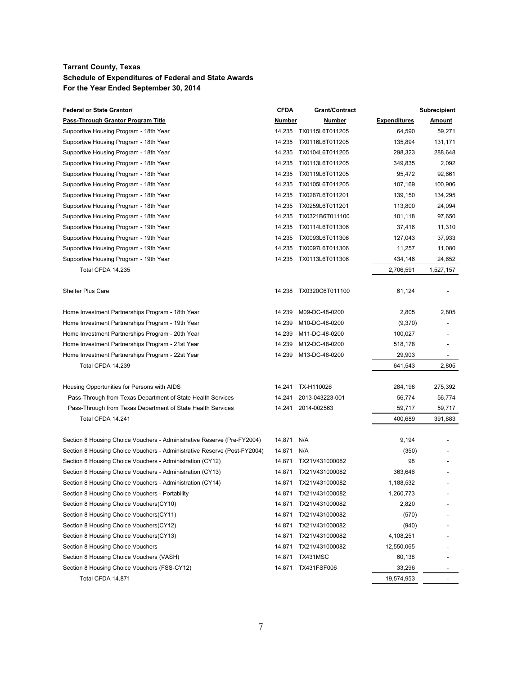| <b>Federal or State Grantor/</b>                                         | <b>CFDA</b> | Grant/Contract  |                     | <b>Subrecipient</b> |
|--------------------------------------------------------------------------|-------------|-----------------|---------------------|---------------------|
| <b>Pass-Through Grantor Program Title</b>                                | Number      | Number          | <b>Expenditures</b> | <u>Amount</u>       |
| Supportive Housing Program - 18th Year                                   | 14.235      | TX0115L6T011205 | 64,590              | 59,271              |
| Supportive Housing Program - 18th Year                                   | 14.235      | TX0116L6T011205 | 135,894             | 131,171             |
| Supportive Housing Program - 18th Year                                   | 14.235      | TX0104L6T011205 | 298,323             | 288,648             |
| Supportive Housing Program - 18th Year                                   | 14.235      | TX0113L6T011205 | 349,835             | 2,092               |
| Supportive Housing Program - 18th Year                                   | 14.235      | TX0119L6T011205 | 95,472              | 92,661              |
| Supportive Housing Program - 18th Year                                   | 14.235      | TX0105L6T011205 | 107,169             | 100,906             |
| Supportive Housing Program - 18th Year                                   | 14.235      | TX0287L6T011201 | 139,150             | 134,295             |
| Supportive Housing Program - 18th Year                                   | 14.235      | TX0259L6T011201 | 113,800             | 24,094              |
| Supportive Housing Program - 18th Year                                   | 14.235      | TX0321B6T011100 | 101,118             | 97,650              |
| Supportive Housing Program - 19th Year                                   | 14.235      | TX0114L6T011306 | 37,416              | 11,310              |
| Supportive Housing Program - 19th Year                                   | 14.235      | TX0093L6T011306 | 127,043             | 37,933              |
| Supportive Housing Program - 19th Year                                   | 14.235      | TX0097L6T011306 | 11,257              | 11,080              |
| Supportive Housing Program - 19th Year                                   | 14.235      | TX0113L6T011306 | 434,146             | 24,652              |
| Total CFDA 14.235                                                        |             |                 | 2,706,591           | 1,527,157           |
|                                                                          |             |                 |                     |                     |
| <b>Shelter Plus Care</b>                                                 | 14.238      | TX0320C6T011100 | 61,124              |                     |
|                                                                          |             |                 |                     |                     |
| Home Investment Partnerships Program - 18th Year                         | 14.239      | M09-DC-48-0200  | 2,805               | 2,805               |
| Home Investment Partnerships Program - 19th Year                         | 14.239      | M10-DC-48-0200  | (9,370)             |                     |
| Home Investment Partnerships Program - 20th Year                         | 14.239      | M11-DC-48-0200  | 100,027             |                     |
| Home Investment Partnerships Program - 21st Year                         | 14.239      | M12-DC-48-0200  | 518,178             |                     |
| Home Investment Partnerships Program - 22st Year                         | 14.239      | M13-DC-48-0200  | 29,903              |                     |
| Total CFDA 14.239                                                        |             |                 | 641,543             | 2,805               |
|                                                                          |             |                 |                     |                     |
| Housing Opportunities for Persons with AIDS                              | 14.241      | TX-H110026      | 284,198             | 275,392             |
| Pass-Through from Texas Department of State Health Services              | 14.241      | 2013-043223-001 | 56,774              | 56,774              |
| Pass-Through from Texas Department of State Health Services              | 14.241      | 2014-002563     | 59,717              | 59,717              |
| Total CFDA 14.241                                                        |             |                 | 400,689             | 391,883             |
|                                                                          |             |                 |                     |                     |
| Section 8 Housing Choice Vouchers - Administrative Reserve (Pre-FY2004)  | 14.871      | N/A             | 9,194               |                     |
| Section 8 Housing Choice Vouchers - Administrative Reserve (Post-FY2004) | 14.871      | N/A             | (350)               |                     |
| Section 8 Housing Choice Vouchers - Administration (CY12)                | 14.871      | TX21V431000082  | 98                  |                     |
| Section 8 Housing Choice Vouchers - Administration (CY13)                | 14.871      | TX21V431000082  | 363,646             |                     |
| Section 8 Housing Choice Vouchers - Administration (CY14)                | 14.871      | TX21V431000082  | 1,188,532           |                     |
| Section 8 Housing Choice Vouchers - Portability                          | 14.871      | TX21V431000082  | 1,260,773           |                     |
| Section 8 Housing Choice Vouchers(CY10)                                  | 14.871      | TX21V431000082  | 2,820               |                     |
| Section 8 Housing Choice Vouchers(CY11)                                  | 14.871      | TX21V431000082  | (570)               |                     |
| Section 8 Housing Choice Vouchers (CY12)                                 | 14.871      | TX21V431000082  | (940)               |                     |
| Section 8 Housing Choice Vouchers (CY13)                                 | 14.871      | TX21V431000082  | 4,108,251           |                     |
| Section 8 Housing Choice Vouchers                                        | 14.871      | TX21V431000082  | 12,550,065          |                     |
| Section 8 Housing Choice Vouchers (VASH)                                 | 14.871      | TX431MSC        | 60,138              |                     |
| Section 8 Housing Choice Vouchers (FSS-CY12)                             | 14.871      | TX431FSF006     | 33,296              |                     |
| Total CFDA 14.871                                                        |             |                 | 19,574,953          |                     |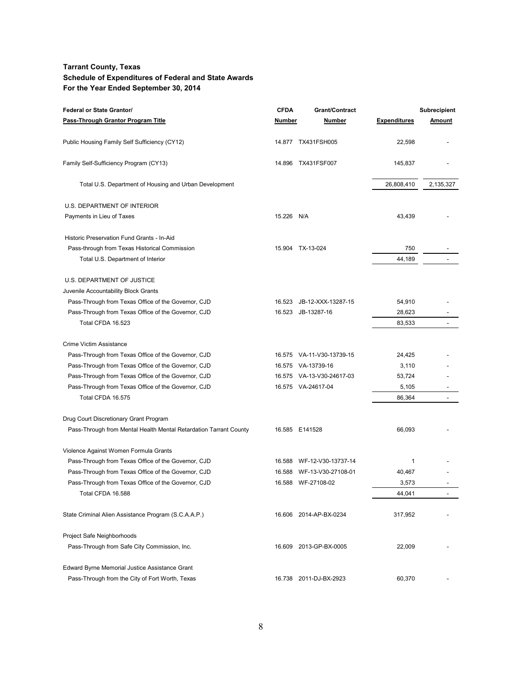| Federal or State Grantor/                                         | <b>CFDA</b> | Grant/Contract            |                     | <b>Subrecipient</b> |
|-------------------------------------------------------------------|-------------|---------------------------|---------------------|---------------------|
| <b>Pass-Through Grantor Program Title</b>                         | Number      | Number                    | <b>Expenditures</b> | Amount              |
| Public Housing Family Self Sufficiency (CY12)                     |             | 14.877 TX431FSH005        | 22,598              |                     |
| Family Self-Sufficiency Program (CY13)                            |             | 14.896 TX431FSF007        | 145,837             |                     |
| Total U.S. Department of Housing and Urban Development            |             |                           | 26,808,410          | 2,135,327           |
| U.S. DEPARTMENT OF INTERIOR                                       |             |                           |                     |                     |
| Payments in Lieu of Taxes                                         | 15.226 N/A  |                           | 43,439              |                     |
| Historic Preservation Fund Grants - In-Aid                        |             |                           |                     |                     |
| Pass-through from Texas Historical Commission                     |             | 15.904 TX-13-024          | 750                 |                     |
| Total U.S. Department of Interior                                 |             |                           | 44,189              |                     |
| U.S. DEPARTMENT OF JUSTICE                                        |             |                           |                     |                     |
| Juvenile Accountability Block Grants                              |             |                           |                     |                     |
| Pass-Through from Texas Office of the Governor, CJD               | 16.523      | JB-12-XXX-13287-15        | 54,910              |                     |
| Pass-Through from Texas Office of the Governor, CJD               | 16.523      | JB-13287-16               | 28,623              |                     |
| Total CFDA 16.523                                                 |             |                           | 83,533              |                     |
| Crime Victim Assistance                                           |             |                           |                     |                     |
| Pass-Through from Texas Office of the Governor, CJD               |             | 16.575 VA-11-V30-13739-15 | 24,425              |                     |
| Pass-Through from Texas Office of the Governor, CJD               |             | 16.575 VA-13739-16        | 3,110               |                     |
| Pass-Through from Texas Office of the Governor, CJD               |             | 16.575 VA-13-V30-24617-03 | 53,724              |                     |
| Pass-Through from Texas Office of the Governor, CJD               |             | 16.575 VA-24617-04        | 5,105               |                     |
| Total CFDA 16.575                                                 |             |                           | 86,364              |                     |
| Drug Court Discretionary Grant Program                            |             |                           |                     |                     |
| Pass-Through from Mental Health Mental Retardation Tarrant County |             | 16.585 E141528            | 66,093              |                     |
| Violence Against Women Formula Grants                             |             |                           |                     |                     |
| Pass-Through from Texas Office of the Governor, CJD               | 16.588      | WF-12-V30-13737-14        | 1                   |                     |
| Pass-Through from Texas Office of the Governor, CJD               | 16.588      | WF-13-V30-27108-01        | 40,467              |                     |
| Pass-Through from Texas Office of the Governor, CJD               |             | 16.588 WF-27108-02        | 3,573               |                     |
| Total CFDA 16.588                                                 |             |                           | 44,041              |                     |
| State Criminal Alien Assistance Program (S.C.A.A.P.)              |             | 16.606 2014-AP-BX-0234    | 317,952             |                     |
| Project Safe Neighborhoods                                        |             |                           |                     |                     |
| Pass-Through from Safe City Commission, Inc.                      |             | 16.609 2013-GP-BX-0005    | 22,009              |                     |
| Edward Byrne Memorial Justice Assistance Grant                    |             |                           |                     |                     |
| Pass-Through from the City of Fort Worth, Texas                   |             | 16.738 2011-DJ-BX-2923    | 60,370              |                     |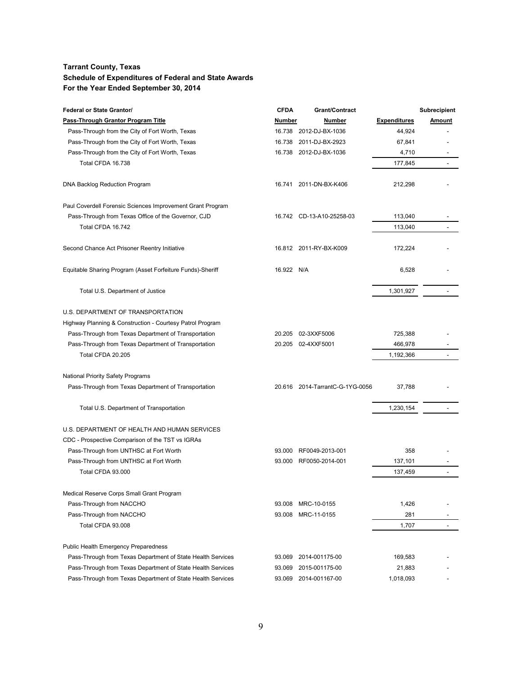| <b>Federal or State Grantor/</b>                            | <b>CFDA</b> | <b>Grant/Contract</b>           |                     | <b>Subrecipient</b>      |
|-------------------------------------------------------------|-------------|---------------------------------|---------------------|--------------------------|
| Pass-Through Grantor Program Title                          | Number      | <b>Number</b>                   | <b>Expenditures</b> | Amount                   |
| Pass-Through from the City of Fort Worth, Texas             | 16.738      | 2012-DJ-BX-1036                 | 44,924              |                          |
| Pass-Through from the City of Fort Worth, Texas             | 16.738      | 2011-DJ-BX-2923                 | 67,841              |                          |
| Pass-Through from the City of Fort Worth, Texas             | 16.738      | 2012-DJ-BX-1036                 | 4,710               |                          |
| Total CFDA 16.738                                           |             |                                 | 177,845             |                          |
|                                                             |             |                                 |                     |                          |
| DNA Backlog Reduction Program                               |             | 16.741 2011-DN-BX-K406          | 212,298             |                          |
| Paul Coverdell Forensic Sciences Improvement Grant Program  |             |                                 |                     |                          |
| Pass-Through from Texas Office of the Governor, CJD         |             | 16.742 CD-13-A10-25258-03       | 113,040             |                          |
| Total CFDA 16.742                                           |             |                                 | 113.040             |                          |
| Second Chance Act Prisoner Reentry Initiative               |             | 16.812 2011-RY-BX-K009          | 172,224             |                          |
| Equitable Sharing Program (Asset Forfeiture Funds)-Sheriff  | 16.922 N/A  |                                 | 6,528               |                          |
| Total U.S. Department of Justice                            |             |                                 | 1,301,927           |                          |
| U.S. DEPARTMENT OF TRANSPORTATION                           |             |                                 |                     |                          |
| Highway Planning & Construction - Courtesy Patrol Program   |             |                                 |                     |                          |
| Pass-Through from Texas Department of Transportation        | 20.205      | 02-3XXF5006                     | 725,388             |                          |
| Pass-Through from Texas Department of Transportation        |             | 20.205 02-4XXF5001              | 466,978             |                          |
| Total CFDA 20.205                                           |             |                                 | 1,192,366           |                          |
| National Priority Safety Programs                           |             |                                 |                     |                          |
| Pass-Through from Texas Department of Transportation        |             | 20.616 2014-TarrantC-G-1YG-0056 | 37,788              |                          |
| Total U.S. Department of Transportation                     |             |                                 | 1,230,154           | $\overline{a}$           |
| U.S. DEPARTMENT OF HEALTH AND HUMAN SERVICES                |             |                                 |                     |                          |
| CDC - Prospective Comparison of the TST vs IGRAs            |             |                                 |                     |                          |
| Pass-Through from UNTHSC at Fort Worth                      | 93.000      | RF0049-2013-001                 | 358                 |                          |
| Pass-Through from UNTHSC at Fort Worth                      | 93.000      | RF0050-2014-001                 | 137,101             |                          |
| Total CFDA 93.000                                           |             |                                 | 137,459             |                          |
| Medical Reserve Corps Small Grant Program                   |             |                                 |                     |                          |
| Pass-Through from NACCHO                                    | 93.008      | MRC-10-0155                     | 1,426               |                          |
| Pass-Through from NACCHO                                    | 93.008      | MRC-11-0155                     | 281                 |                          |
| Total CFDA 93.008                                           |             |                                 | 1,707               | $\overline{\phantom{a}}$ |
| Public Health Emergency Preparedness                        |             |                                 |                     |                          |
| Pass-Through from Texas Department of State Health Services | 93.069      | 2014-001175-00                  | 169,583             |                          |
| Pass-Through from Texas Department of State Health Services | 93.069      | 2015-001175-00                  | 21,883              |                          |
| Pass-Through from Texas Department of State Health Services | 93.069      | 2014-001167-00                  | 1,018,093           |                          |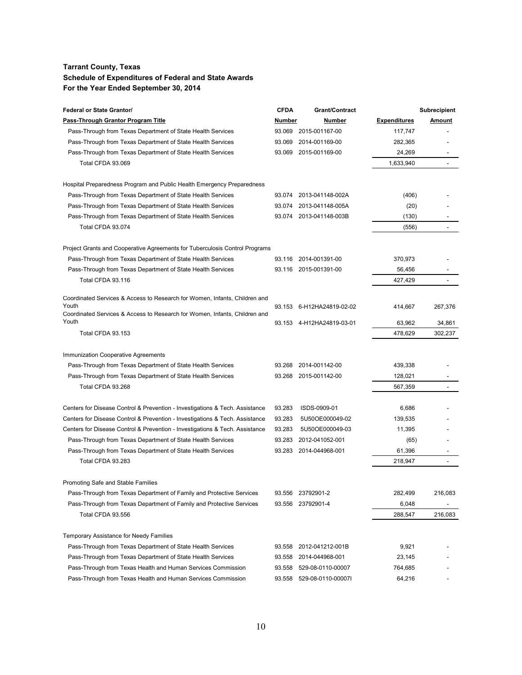| <b>Federal or State Grantor/</b>                                                    | <b>CFDA</b> | <b>Grant/Contract</b>     |                     | <b>Subrecipient</b>      |
|-------------------------------------------------------------------------------------|-------------|---------------------------|---------------------|--------------------------|
| <u>Pass-Through Grantor Program Title</u>                                           | Number      | Number                    | <b>Expenditures</b> | Amount                   |
| Pass-Through from Texas Department of State Health Services                         | 93.069      | 2015-001167-00            | 117,747             |                          |
| Pass-Through from Texas Department of State Health Services                         | 93.069      | 2014-001169-00            | 282,365             |                          |
| Pass-Through from Texas Department of State Health Services                         | 93.069      | 2015-001169-00            | 24,269              |                          |
| Total CFDA 93.069                                                                   |             |                           | 1,633,940           | $\overline{\phantom{a}}$ |
|                                                                                     |             |                           |                     |                          |
| Hospital Preparedness Program and Public Health Emergency Preparedness              |             |                           |                     |                          |
| Pass-Through from Texas Department of State Health Services                         | 93.074      | 2013-041148-002A          | (406)               |                          |
| Pass-Through from Texas Department of State Health Services                         | 93.074      | 2013-041148-005A          | (20)                |                          |
| Pass-Through from Texas Department of State Health Services                         |             | 93.074 2013-041148-003B   | (130)               |                          |
| Total CFDA 93.074                                                                   |             |                           | (556)               |                          |
|                                                                                     |             |                           |                     |                          |
| Project Grants and Cooperative Agreements for Tuberculosis Control Programs         |             |                           |                     |                          |
| Pass-Through from Texas Department of State Health Services                         | 93.116      | 2014-001391-00            | 370,973             |                          |
| Pass-Through from Texas Department of State Health Services                         | 93.116      | 2015-001391-00            | 56,456              | $\overline{\phantom{a}}$ |
| Total CFDA 93.116                                                                   |             |                           | 427,429             | $\overline{\phantom{a}}$ |
| Coordinated Services & Access to Research for Women, Infants, Children and          |             |                           |                     |                          |
| Youth                                                                               | 93.153      | 6-H12HA24819-02-02        | 414,667             | 267,376                  |
| Coordinated Services & Access to Research for Women, Infants, Children and<br>Youth |             | 93.153 4-H12HA24819-03-01 |                     |                          |
| Total CFDA 93.153                                                                   |             |                           | 63,962<br>478,629   | 34,861<br>302,237        |
|                                                                                     |             |                           |                     |                          |
| Immunization Cooperative Agreements                                                 |             |                           |                     |                          |
| Pass-Through from Texas Department of State Health Services                         | 93.268      | 2014-001142-00            | 439,338             |                          |
| Pass-Through from Texas Department of State Health Services                         | 93.268      | 2015-001142-00            | 128,021             |                          |
| Total CFDA 93.268                                                                   |             |                           | 567,359             | $\sim$                   |
|                                                                                     |             |                           |                     |                          |
| Centers for Disease Control & Prevention - Investigations & Tech. Assistance        | 93.283      | ISDS-0909-01              | 6,686               |                          |
| Centers for Disease Control & Prevention - Investigations & Tech. Assistance        | 93.283      | 5U50OE000049-02           | 139,535             |                          |
| Centers for Disease Control & Prevention - Investigations & Tech. Assistance        | 93.283      | 5U50OE000049-03           | 11,395              |                          |
| Pass-Through from Texas Department of State Health Services                         | 93.283      | 2012-041052-001           | (65)                |                          |
| Pass-Through from Texas Department of State Health Services                         | 93.283      | 2014-044968-001           | 61,396              |                          |
| Total CFDA 93.283                                                                   |             |                           | 218,947             |                          |
|                                                                                     |             |                           |                     |                          |
| Promoting Safe and Stable Families                                                  |             |                           |                     |                          |
| Pass-Through from Texas Department of Family and Protective Services                | 93.556      | 23792901-2                | 282,499             | 216,083                  |
| Pass-Through from Texas Department of Family and Protective Services                | 93.556      | 23792901-4                | 6,048               |                          |
| Total CFDA 93.556                                                                   |             |                           | 288,547             | 216,083                  |
|                                                                                     |             |                           |                     |                          |
| Temporary Assistance for Needy Families                                             |             |                           |                     |                          |
| Pass-Through from Texas Department of State Health Services                         | 93.558      | 2012-041212-001B          | 9,921               |                          |
| Pass-Through from Texas Department of State Health Services                         | 93.558      | 2014-044968-001           | 23,145              |                          |
| Pass-Through from Texas Health and Human Services Commission                        | 93.558      | 529-08-0110-00007         | 764,685             |                          |
| Pass-Through from Texas Health and Human Services Commission                        | 93.558      | 529-08-0110-000071        | 64,216              |                          |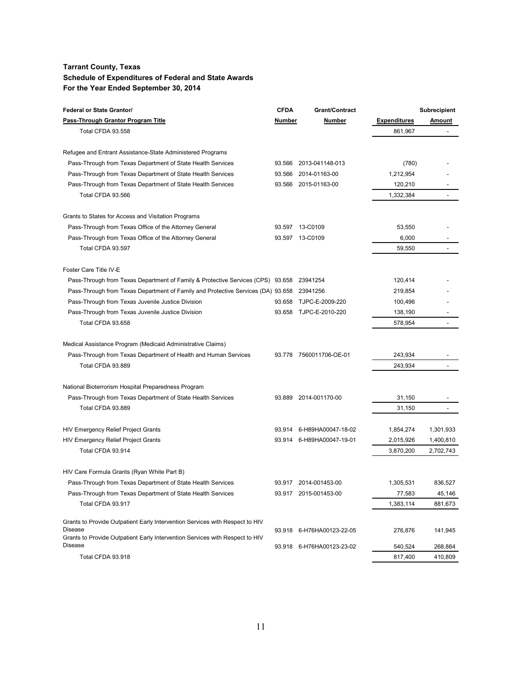| <b>Federal or State Grantor/</b>                                                        | <b>CFDA</b>   | Grant/Contract            |                     | <b>Subrecipient</b>      |
|-----------------------------------------------------------------------------------------|---------------|---------------------------|---------------------|--------------------------|
| Pass-Through Grantor Program Title                                                      | <b>Number</b> | Number                    | <b>Expenditures</b> | <u>Amount</u>            |
| Total CFDA 93.558                                                                       |               |                           | 861,967             | $\overline{\phantom{a}}$ |
| Refugee and Entrant Assistance-State Administered Programs                              |               |                           |                     |                          |
| Pass-Through from Texas Department of State Health Services                             | 93.566        | 2013-041148-013           | (780)               |                          |
| Pass-Through from Texas Department of State Health Services                             | 93.566        | 2014-01163-00             | 1,212,954           |                          |
| Pass-Through from Texas Department of State Health Services                             |               | 93.566 2015-01163-00      | 120,210             |                          |
| Total CFDA 93.566                                                                       |               |                           | 1,332,384           |                          |
| Grants to States for Access and Visitation Programs                                     |               |                           |                     |                          |
| Pass-Through from Texas Office of the Attorney General                                  |               | 93.597 13-C0109           | 53,550              |                          |
| Pass-Through from Texas Office of the Attorney General                                  |               | 93.597 13-C0109           | 6,000               |                          |
| Total CFDA 93.597                                                                       |               |                           | 59,550              |                          |
| Foster Care Title IV-E                                                                  |               |                           |                     |                          |
| Pass-Through from Texas Department of Family & Protective Services (CPS) 93.658         |               | 23941254                  | 120,414             |                          |
| Pass-Through from Texas Department of Family and Protective Services (DA) 93.658        |               | 23941256                  | 219,854             |                          |
| Pass-Through from Texas Juvenile Justice Division                                       | 93.658        | TJPC-E-2009-220           | 100,496             |                          |
| Pass-Through from Texas Juvenile Justice Division                                       | 93.658        | TJPC-E-2010-220           | 138,190             |                          |
| Total CFDA 93.658                                                                       |               |                           | 578,954             |                          |
| Medical Assistance Program (Medicaid Administrative Claims)                             |               |                           |                     |                          |
| Pass-Through from Texas Department of Health and Human Services                         | 93.778        | 7560011706-OE-01          | 243,934             |                          |
| Total CFDA 93.889                                                                       |               |                           | 243,934             |                          |
| National Bioterrorism Hospital Preparedness Program                                     |               |                           |                     |                          |
| Pass-Through from Texas Department of State Health Services                             |               | 93.889 2014-001170-00     | 31,150              |                          |
| Total CFDA 93.889                                                                       |               |                           | 31,150              | $\overline{\phantom{a}}$ |
| <b>HIV Emergency Relief Project Grants</b>                                              |               | 93.914 6-H89HA00047-18-02 | 1,854,274           | 1,301,933                |
| <b>HIV Emergency Relief Project Grants</b>                                              |               | 93.914 6-H89HA00047-19-01 | 2,015,926           | 1,400,810                |
| Total CFDA 93.914                                                                       |               |                           | 3,870,200           | 2,702,743                |
| HIV Care Formula Grants (Ryan White Part B)                                             |               |                           |                     |                          |
| Pass-Through from Texas Department of State Health Services                             |               | 93.917 2014-001453-00     | 1,305,531           | 836.527                  |
| Pass-Through from Texas Department of State Health Services                             |               | 93.917 2015-001453-00     | 77,583              | 45,146                   |
| Total CFDA 93.917                                                                       |               |                           | 1,383,114           | 881,673                  |
| Grants to Provide Outpatient Early Intervention Services with Respect to HIV            |               |                           |                     |                          |
| Disease<br>Grants to Provide Outpatient Early Intervention Services with Respect to HIV | 93.918        | 6-H76HA00123-22-05        | 276,876             | 141,945                  |
| Disease                                                                                 | 93.918        | 6-H76HA00123-23-02        | 540,524             | 268,864                  |
| Total CFDA 93.918                                                                       |               |                           | 817,400             | 410,809                  |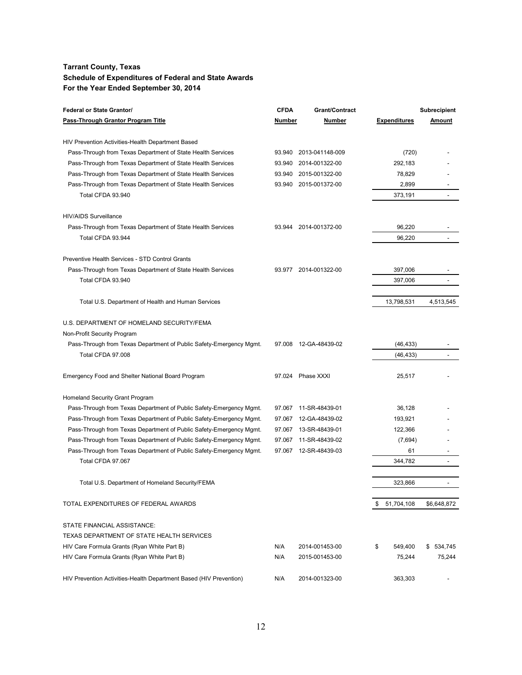| <b>Federal or State Grantor/</b>                                    | <b>CFDA</b> | <b>Grant/Contract</b> |                     | <b>Subrecipient</b>          |
|---------------------------------------------------------------------|-------------|-----------------------|---------------------|------------------------------|
| Pass-Through Grantor Program Title                                  | Number      | Number                | <b>Expenditures</b> | <u>Amount</u>                |
| HIV Prevention Activities-Health Department Based                   |             |                       |                     |                              |
| Pass-Through from Texas Department of State Health Services         | 93.940      | 2013-041148-009       | (720)               |                              |
| Pass-Through from Texas Department of State Health Services         | 93.940      | 2014-001322-00        | 292,183             |                              |
| Pass-Through from Texas Department of State Health Services         | 93.940      | 2015-001322-00        | 78,829              |                              |
| Pass-Through from Texas Department of State Health Services         | 93.940      | 2015-001372-00        | 2,899               |                              |
| Total CFDA 93.940                                                   |             |                       | 373,191             |                              |
| <b>HIV/AIDS Surveillance</b>                                        |             |                       |                     |                              |
| Pass-Through from Texas Department of State Health Services         | 93.944      | 2014-001372-00        | 96,220              |                              |
| Total CFDA 93.944                                                   |             |                       | 96,220              |                              |
| Preventive Health Services - STD Control Grants                     |             |                       |                     |                              |
| Pass-Through from Texas Department of State Health Services         | 93.977      | 2014-001322-00        | 397,006             |                              |
| Total CFDA 93.940                                                   |             |                       | 397,006             | $\qquad \qquad \blacksquare$ |
|                                                                     |             |                       |                     |                              |
| Total U.S. Department of Health and Human Services                  |             |                       | 13,798,531          | 4,513,545                    |
| U.S. DEPARTMENT OF HOMELAND SECURITY/FEMA                           |             |                       |                     |                              |
| Non-Profit Security Program                                         |             |                       |                     |                              |
| Pass-Through from Texas Department of Public Safety-Emergency Mgmt. | 97.008      | 12-GA-48439-02        | (46, 433)           |                              |
| Total CFDA 97.008                                                   |             |                       | (46, 433)           |                              |
| Emergency Food and Shelter National Board Program                   |             | 97.024 Phase XXXI     | 25,517              |                              |
| Homeland Security Grant Program                                     |             |                       |                     |                              |
| Pass-Through from Texas Department of Public Safety-Emergency Mgmt. | 97.067      | 11-SR-48439-01        | 36,128              |                              |
| Pass-Through from Texas Department of Public Safety-Emergency Mgmt. | 97.067      | 12-GA-48439-02        | 193,921             |                              |
| Pass-Through from Texas Department of Public Safety-Emergency Mgmt. |             | 97.067 13-SR-48439-01 | 122,366             |                              |
| Pass-Through from Texas Department of Public Safety-Emergency Mgmt. | 97.067      | 11-SR-48439-02        | (7,694)             |                              |
| Pass-Through from Texas Department of Public Safety-Emergency Mgmt. | 97.067      | 12-SR-48439-03        | 61                  |                              |
| Total CFDA 97.067                                                   |             |                       | 344,782             |                              |
|                                                                     |             |                       |                     |                              |
| Total U.S. Department of Homeland Security/FEMA                     |             |                       | 323,866             |                              |
| TOTAL EXPENDITURES OF FEDERAL AWARDS                                |             |                       | \$ 51,704,108       | \$6,648,872                  |
| STATE FINANCIAL ASSISTANCE:                                         |             |                       |                     |                              |
| TEXAS DEPARTMENT OF STATE HEALTH SERVICES                           |             |                       |                     |                              |
| HIV Care Formula Grants (Ryan White Part B)                         | N/A         | 2014-001453-00        | \$<br>549,400       | \$534,745                    |
| HIV Care Formula Grants (Ryan White Part B)                         | N/A         | 2015-001453-00        | 75,244              | 75,244                       |
| HIV Prevention Activities-Health Department Based (HIV Prevention)  | N/A         | 2014-001323-00        | 363,303             |                              |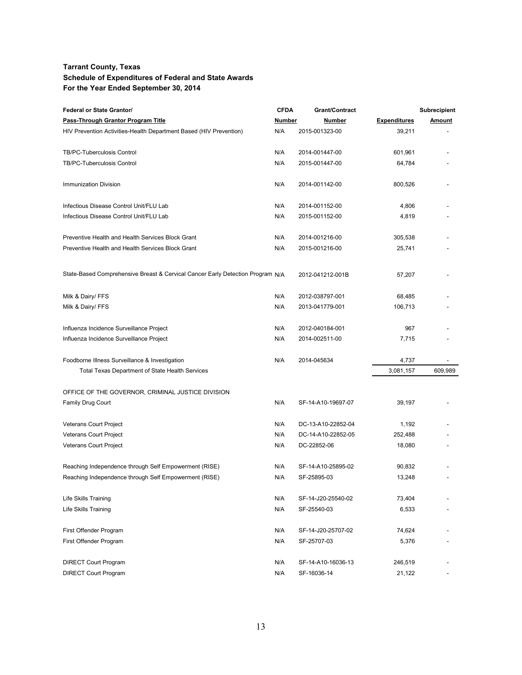| <b>Federal or State Grantor/</b>                                               | <b>CFDA</b> | <b>Grant/Contract</b> |                     | <b>Subrecipient</b> |
|--------------------------------------------------------------------------------|-------------|-----------------------|---------------------|---------------------|
| Pass-Through Grantor Program Title                                             | Number      | <b>Number</b>         | <b>Expenditures</b> | <b>Amount</b>       |
| HIV Prevention Activities-Health Department Based (HIV Prevention)             | N/A         | 2015-001323-00        | 39,211              |                     |
| TB/PC-Tuberculosis Control                                                     | N/A         | 2014-001447-00        | 601,961             |                     |
| TB/PC-Tuberculosis Control                                                     | N/A         | 2015-001447-00        | 64,784              |                     |
| <b>Immunization Division</b>                                                   | N/A         | 2014-001142-00        | 800,526             |                     |
| Infectious Disease Control Unit/FLU Lab                                        | N/A         | 2014-001152-00        | 4,806               |                     |
| Infectious Disease Control Unit/FLU Lab                                        | N/A         | 2015-001152-00        | 4,819               |                     |
| Preventive Health and Health Services Block Grant                              | N/A         | 2014-001216-00        | 305,538             |                     |
| Preventive Health and Health Services Block Grant                              | N/A         | 2015-001216-00        | 25,741              |                     |
| State-Based Comprehensive Breast & Cervical Cancer Early Detection Program N/A |             | 2012-041212-001B      | 57,207              |                     |
| Milk & Dairy/ FFS                                                              | N/A         | 2012-038797-001       | 68,485              |                     |
| Milk & Dairy/ FFS                                                              | N/A         | 2013-041779-001       | 106,713             |                     |
| Influenza Incidence Surveillance Project                                       | N/A         | 2012-040184-001       | 967                 |                     |
| Influenza Incidence Surveillance Project                                       | N/A         | 2014-002511-00        | 7,715               |                     |
| Foodborne Illness Surveillance & Investigation                                 | N/A         | 2014-045634           | 4,737               |                     |
| Total Texas Department of State Health Services                                |             |                       | 3,081,157           | 609,989             |
| OFFICE OF THE GOVERNOR, CRIMINAL JUSTICE DIVISION                              |             |                       |                     |                     |
| <b>Family Drug Court</b>                                                       | N/A         | SF-14-A10-19697-07    | 39,197              |                     |
| Veterans Court Project                                                         | N/A         | DC-13-A10-22852-04    | 1,192               |                     |
| Veterans Court Project                                                         | N/A         | DC-14-A10-22852-05    | 252,488             |                     |
| Veterans Court Project                                                         | N/A         | DC-22852-06           | 18,080              |                     |
| Reaching Independence through Self Empowerment (RISE)                          | N/A         | SF-14-A10-25895-02    | 90,832              |                     |
| Reaching Independence through Self Empowerment (RISE)                          | N/A         | SF-25895-03           | 13,248              |                     |
| Life Skills Training                                                           | N/A         | SF-14-J20-25540-02    | 73,404              |                     |
| Life Skills Training                                                           | N/A         | SF-25540-03           | 6,533               |                     |
| First Offender Program                                                         | N/A         | SF-14-J20-25707-02    | 74,624              |                     |
| First Offender Program                                                         | N/A         | SF-25707-03           | 5,376               |                     |
| <b>DIRECT Court Program</b>                                                    | N/A         | SF-14-A10-16036-13    | 246,519             |                     |
| <b>DIRECT Court Program</b>                                                    | N/A         | SF-16036-14           | 21,122              |                     |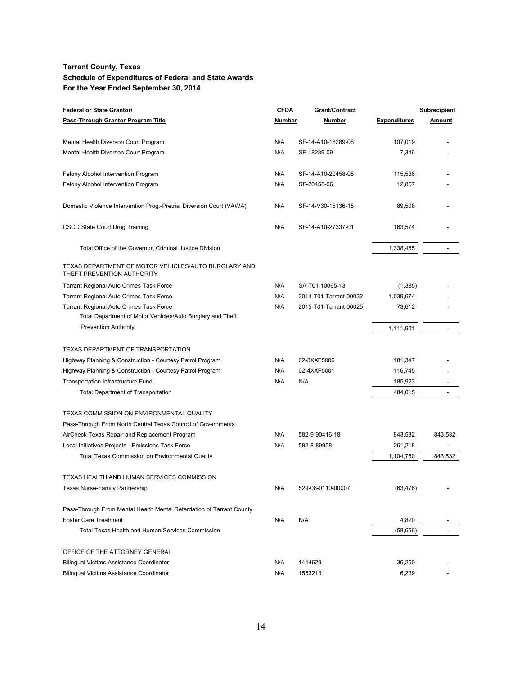| <b>Federal or State Grantor/</b>                                                   | <b>CFDA</b> | Grant/Contract         |                     | <b>Subrecipient</b>      |
|------------------------------------------------------------------------------------|-------------|------------------------|---------------------|--------------------------|
| Pass-Through Grantor Program Title                                                 | Number      | Number                 | <b>Expenditures</b> | Amount                   |
| Mental Health Diverson Court Program                                               | N/A         | SF-14-A10-18289-08     | 107,019             |                          |
| Mental Health Diverson Court Program                                               | N/A         | SF-18289-09            | 7,346               |                          |
| Felony Alcohol Intervention Program                                                | N/A         | SF-14-A10-20458-05     | 115,536             |                          |
| Felony Alcohol Intervention Program                                                | N/A         | SF-20458-06            | 12,857              |                          |
| Domestic Violence Intervention Prog.-Pretrial Diversion Court (VAWA)               | N/A         | SF-14-V30-15136-15     | 89,508              |                          |
| CSCD State Court Drug Training                                                     | N/A         | SF-14-A10-27337-01     | 163,574             |                          |
| Total Office of the Governor, Criminal Justice Division                            |             |                        | 1,338,455           |                          |
| TEXAS DEPARTMENT OF MOTOR VEHICLES/AUTO BURGLARY AND<br>THEFT PREVENTION AUTHORITY |             |                        |                     |                          |
| Tarrant Regional Auto Crimes Task Force                                            | N/A         | SA-T01-10065-13        | (1,385)             |                          |
| <b>Tarrant Regional Auto Crimes Task Force</b>                                     | N/A         | 2014-T01-Tarrant-00032 | 1,039,674           |                          |
| <b>Tarrant Regional Auto Crimes Task Force</b>                                     | N/A         | 2015-T01-Tarrant-00025 | 73,612              |                          |
| Total Department of Motor Vehicles/Auto Burglary and Theft                         |             |                        |                     |                          |
| <b>Prevention Authority</b>                                                        |             |                        | 1,111,901           |                          |
| TEXAS DEPARTMENT OF TRANSPORTATION                                                 |             |                        |                     |                          |
| Highway Planning & Construction - Courtesy Patrol Program                          | N/A         | 02-3XXF5006            | 181,347             |                          |
| Highway Planning & Construction - Courtesy Patrol Program                          | N/A         | 02-4XXF5001            | 116,745             |                          |
| <b>Transportation Infrastructure Fund</b>                                          | N/A         | N/A                    | 185,923             |                          |
| <b>Total Department of Transportation</b>                                          |             |                        | 484,015             | $\overline{\phantom{a}}$ |
| TEXAS COMMISSION ON ENVIRONMENTAL QUALITY                                          |             |                        |                     |                          |
| Pass-Through From North Central Texas Council of Governments                       |             |                        |                     |                          |
| AirCheck Texas Repair and Replacement Program                                      | N/A         | 582-9-90416-18         | 843,532             | 843,532                  |
| Local Initiatives Projects - Emissions Task Force                                  | N/A         | 582-8-89958            | 261,218             |                          |
| <b>Total Texas Commission on Environmental Quality</b>                             |             |                        | 1,104,750           | 843,532                  |
| TEXAS HEALTH AND HUMAN SERVICES COMMISSION                                         |             |                        |                     |                          |
| Texas Nurse-Family Partnership                                                     | N/A         | 529-08-0110-00007      | (63, 476)           |                          |
| Pass-Through From Mental Health Mental Retardation of Tarrant County               |             |                        |                     |                          |
| <b>Foster Care Treatment</b>                                                       | N/A         | N/A                    | 4,820               |                          |
| Total Texas Health and Human Services Commission                                   |             |                        | (58, 656)           | $\overline{a}$           |
| OFFICE OF THE ATTORNEY GENERAL                                                     |             |                        |                     |                          |
| Bilingual Victims Assistance Coordinator                                           | N/A         | 1444629                | 36,250              |                          |
| <b>Bilingual Victims Assistance Coordinator</b>                                    | N/A         | 1553213                | 6,239               |                          |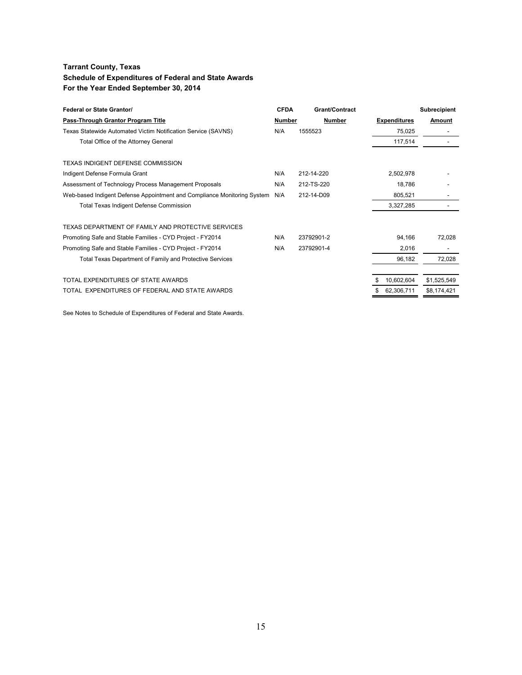| <b>Federal or State Grantor/</b>                                        | <b>CFDA</b> | <b>Grant/Contract</b> |                     | <b>Subrecipient</b> |
|-------------------------------------------------------------------------|-------------|-----------------------|---------------------|---------------------|
| Pass-Through Grantor Program Title                                      | Number      | Number                | <b>Expenditures</b> | Amount              |
| Texas Statewide Automated Victim Notification Service (SAVNS)           | N/A         | 1555523               | 75,025              |                     |
| Total Office of the Attorney General                                    |             |                       | 117,514             |                     |
| TEXAS INDIGENT DEFENSE COMMISSION                                       |             |                       |                     |                     |
| Indigent Defense Formula Grant                                          | N/A         | 212-14-220            | 2,502,978           |                     |
| Assessment of Technology Process Management Proposals                   | N/A         | 212-TS-220            | 18.786              |                     |
| Web-based Indigent Defense Appointment and Compliance Monitoring System | N/A         | 212-14-D09            | 805,521             |                     |
| <b>Total Texas Indigent Defense Commission</b>                          |             |                       | 3,327,285           |                     |
| TEXAS DEPARTMENT OF FAMILY AND PROTECTIVE SERVICES                      |             |                       |                     |                     |
| Promoting Safe and Stable Families - CYD Project - FY2014               | N/A         | 23792901-2            | 94,166              | 72,028              |
| Promoting Safe and Stable Families - CYD Project - FY2014               | N/A         | 23792901-4            | 2,016               |                     |
| Total Texas Department of Family and Protective Services                |             |                       | 96,182              | 72,028              |
| TOTAL EXPENDITURES OF STATE AWARDS                                      |             |                       | 10,602,604          | \$1,525,549         |
| TOTAL EXPENDITURES OF FEDERAL AND STATE AWARDS                          |             |                       | 62,306,711          | \$8,174,421         |

See Notes to Schedule of Expenditures of Federal and State Awards.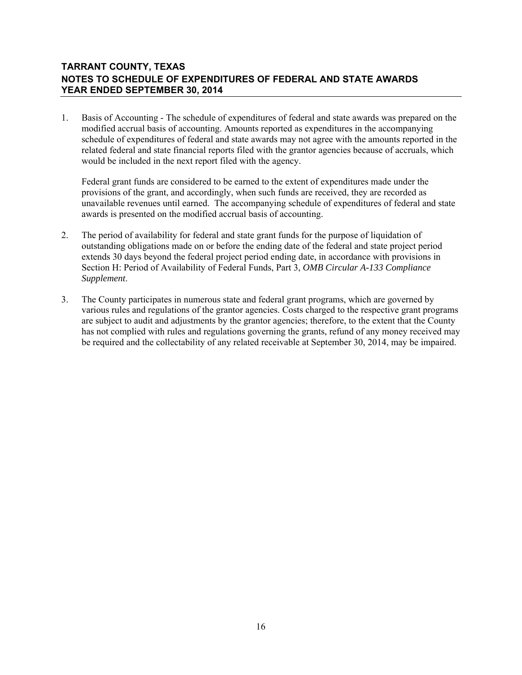# **TARRANT COUNTY, TEXAS NOTES TO SCHEDULE OF EXPENDITURES OF FEDERAL AND STATE AWARDS YEAR ENDED SEPTEMBER 30, 2014**

1. Basis of Accounting - The schedule of expenditures of federal and state awards was prepared on the modified accrual basis of accounting. Amounts reported as expenditures in the accompanying schedule of expenditures of federal and state awards may not agree with the amounts reported in the related federal and state financial reports filed with the grantor agencies because of accruals, which would be included in the next report filed with the agency.

 Federal grant funds are considered to be earned to the extent of expenditures made under the provisions of the grant, and accordingly, when such funds are received, they are recorded as unavailable revenues until earned. The accompanying schedule of expenditures of federal and state awards is presented on the modified accrual basis of accounting.

- 2. The period of availability for federal and state grant funds for the purpose of liquidation of outstanding obligations made on or before the ending date of the federal and state project period extends 30 days beyond the federal project period ending date, in accordance with provisions in Section H: Period of Availability of Federal Funds, Part 3, *OMB Circular A-133 Compliance Supplement*.
- 3. The County participates in numerous state and federal grant programs, which are governed by various rules and regulations of the grantor agencies. Costs charged to the respective grant programs are subject to audit and adjustments by the grantor agencies; therefore, to the extent that the County has not complied with rules and regulations governing the grants, refund of any money received may be required and the collectability of any related receivable at September 30, 2014, may be impaired.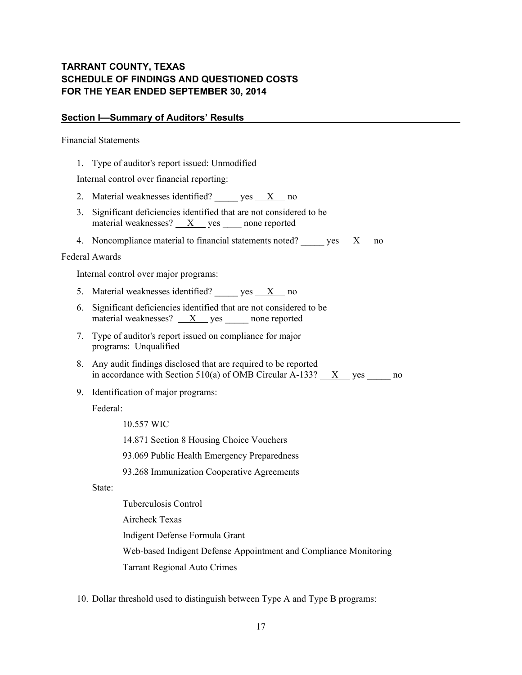# **TARRANT COUNTY, TEXAS SCHEDULE OF FINDINGS AND QUESTIONED COSTS FOR THE YEAR ENDED SEPTEMBER 30, 2014**

#### **Section I—Summary of Auditors' Results**

Financial Statements

1. Type of auditor's report issued: Unmodified

Internal control over financial reporting:

- 2. Material weaknesses identified? \_\_\_\_\_ yes  $\frac{X}{X}$  no
- 3. Significant deficiencies identified that are not considered to be material weaknesses?  $X$  yes none reported
- 4. Noncompliance material to financial statements noted? yes X no

#### Federal Awards

Internal control over major programs:

- 5. Material weaknesses identified?  $yes$   $X$  no
- 6. Significant deficiencies identified that are not considered to be material weaknesses?  $\frac{X}{X}$  yes \_\_\_\_\_\_ none reported
- 7. Type of auditor's report issued on compliance for major programs: Unqualified
- 8. Any audit findings disclosed that are required to be reported in accordance with Section 510(a) of OMB Circular A-133?  $X$  yes no
- 9. Identification of major programs:

Federal:

10.557 WIC

14.871 Section 8 Housing Choice Vouchers

93.069 Public Health Emergency Preparedness

93.268 Immunization Cooperative Agreements

State:

 Tuberculosis Control Aircheck Texas Indigent Defense Formula Grant Web-based Indigent Defense Appointment and Compliance Monitoring Tarrant Regional Auto Crimes

10. Dollar threshold used to distinguish between Type A and Type B programs: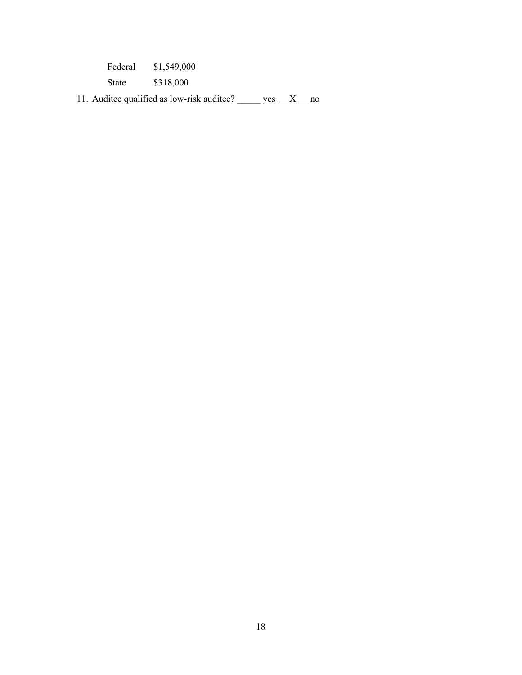| Federal | \$1,549,000 |
|---------|-------------|
| State   | \$318,000   |

11. Auditee qualified as low-risk auditee? \_\_\_\_\_\_ yes  $\_\_X$  no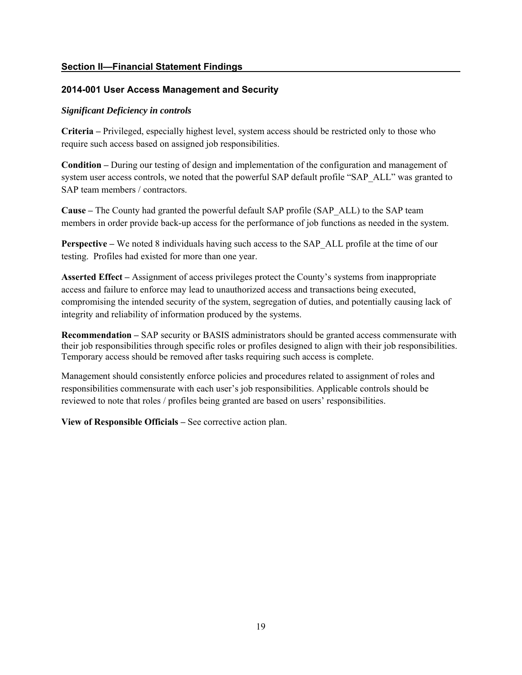# **Section II—Financial Statement Findings**

# **2014-001 User Access Management and Security**

# *Significant Deficiency in controls*

**Criteria –** Privileged, especially highest level, system access should be restricted only to those who require such access based on assigned job responsibilities.

**Condition –** During our testing of design and implementation of the configuration and management of system user access controls, we noted that the powerful SAP default profile "SAP\_ALL" was granted to SAP team members / contractors.

**Cause –** The County had granted the powerful default SAP profile (SAP\_ALL) to the SAP team members in order provide back-up access for the performance of job functions as needed in the system.

**Perspective – We noted 8 individuals having such access to the SAP\_ALL profile at the time of our** testing.Profiles had existed for more than one year.

**Asserted Effect –** Assignment of access privileges protect the County's systems from inappropriate access and failure to enforce may lead to unauthorized access and transactions being executed, compromising the intended security of the system, segregation of duties, and potentially causing lack of integrity and reliability of information produced by the systems.

**Recommendation –** SAP security or BASIS administrators should be granted access commensurate with their job responsibilities through specific roles or profiles designed to align with their job responsibilities. Temporary access should be removed after tasks requiring such access is complete.

Management should consistently enforce policies and procedures related to assignment of roles and responsibilities commensurate with each user's job responsibilities. Applicable controls should be reviewed to note that roles / profiles being granted are based on users' responsibilities.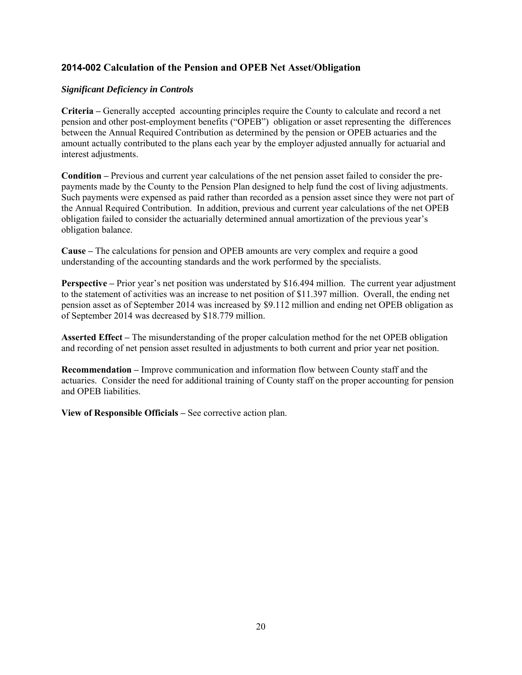# **2014-002 Calculation of the Pension and OPEB Net Asset/Obligation**

#### *Significant Deficiency in Controls*

**Criteria –** Generally accepted accounting principles require the County to calculate and record a net pension and other post-employment benefits ("OPEB") obligation or asset representing the differences between the Annual Required Contribution as determined by the pension or OPEB actuaries and the amount actually contributed to the plans each year by the employer adjusted annually for actuarial and interest adjustments.

**Condition –** Previous and current year calculations of the net pension asset failed to consider the prepayments made by the County to the Pension Plan designed to help fund the cost of living adjustments. Such payments were expensed as paid rather than recorded as a pension asset since they were not part of the Annual Required Contribution. In addition, previous and current year calculations of the net OPEB obligation failed to consider the actuarially determined annual amortization of the previous year's obligation balance.

**Cause –** The calculations for pension and OPEB amounts are very complex and require a good understanding of the accounting standards and the work performed by the specialists.

**Perspective** – Prior year's net position was understated by \$16.494 million. The current year adjustment to the statement of activities was an increase to net position of \$11.397 million. Overall, the ending net pension asset as of September 2014 was increased by \$9.112 million and ending net OPEB obligation as of September 2014 was decreased by \$18.779 million.

**Asserted Effect –** The misunderstanding of the proper calculation method for the net OPEB obligation and recording of net pension asset resulted in adjustments to both current and prior year net position.

**Recommendation –** Improve communication and information flow between County staff and the actuaries. Consider the need for additional training of County staff on the proper accounting for pension and OPEB liabilities.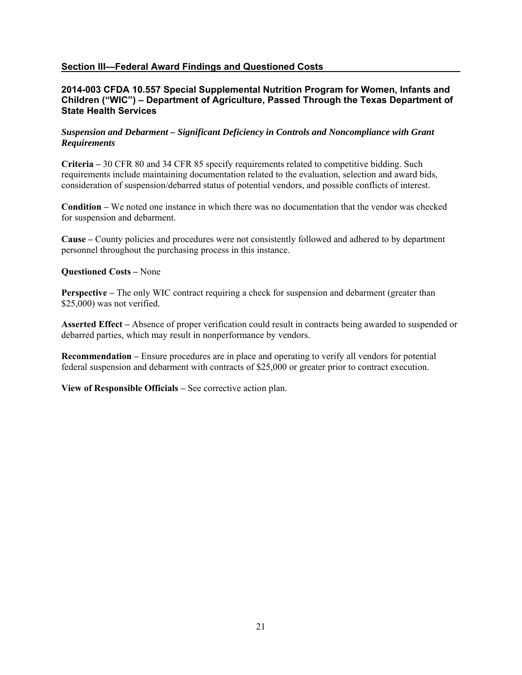#### **Section III—Federal Award Findings and Questioned Costs**

#### **2014-003 CFDA 10.557 Special Supplemental Nutrition Program for Women, Infants and Children ("WIC") – Department of Agriculture, Passed Through the Texas Department of State Health Services**

#### *Suspension and Debarment – Significant Deficiency in Controls and Noncompliance with Grant Requirements*

**Criteria –** 30 CFR 80 and 34 CFR 85 specify requirements related to competitive bidding. Such requirements include maintaining documentation related to the evaluation, selection and award bids, consideration of suspension/debarred status of potential vendors, and possible conflicts of interest.

**Condition –** We noted one instance in which there was no documentation that the vendor was checked for suspension and debarment.

**Cause –** County policies and procedures were not consistently followed and adhered to by department personnel throughout the purchasing process in this instance.

#### **Questioned Costs –** None

**Perspective** – The only WIC contract requiring a check for suspension and debarment (greater than \$25,000) was not verified.

**Asserted Effect –** Absence of proper verification could result in contracts being awarded to suspended or debarred parties, which may result in nonperformance by vendors.

**Recommendation –** Ensure procedures are in place and operating to verify all vendors for potential federal suspension and debarment with contracts of \$25,000 or greater prior to contract execution.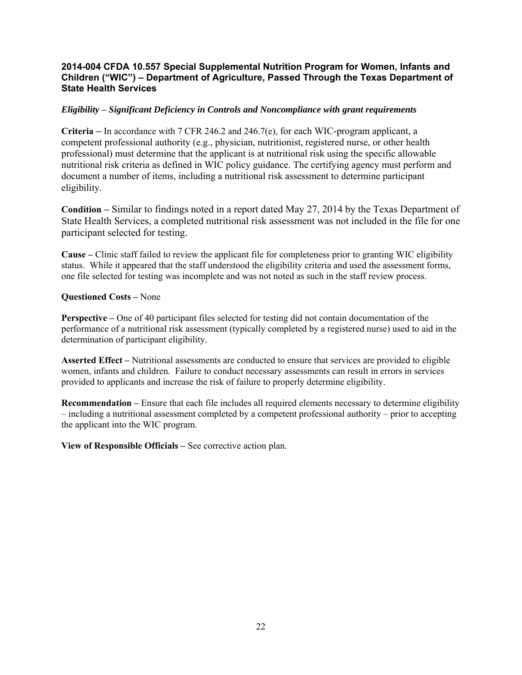#### **2014-004 CFDA 10.557 Special Supplemental Nutrition Program for Women, Infants and Children ("WIC") – Department of Agriculture, Passed Through the Texas Department of State Health Services**

#### *Eligibility* **–** *Significant Deficiency in Controls and Noncompliance with grant requirements*

**Criteria –** In accordance with 7 CFR 246.2 and 246.7(e), for each WIC-program applicant, a competent professional authority (e.g., physician, nutritionist, registered nurse, or other health professional) must determine that the applicant is at nutritional risk using the specific allowable nutritional risk criteria as defined in WIC policy guidance. The certifying agency must perform and document a number of items, including a nutritional risk assessment to determine participant eligibility.

**Condition –** Similar to findings noted in a report dated May 27, 2014 by the Texas Department of State Health Services, a completed nutritional risk assessment was not included in the file for one participant selected for testing.

**Cause –** Clinic staff failed to review the applicant file for completeness prior to granting WIC eligibility status. While it appeared that the staff understood the eligibility criteria and used the assessment forms, one file selected for testing was incomplete and was not noted as such in the staff review process.

#### **Questioned Costs –** None

**Perspective** – One of 40 participant files selected for testing did not contain documentation of the performance of a nutritional risk assessment (typically completed by a registered nurse) used to aid in the determination of participant eligibility.

**Asserted Effect –** Nutritional assessments are conducted to ensure that services are provided to eligible women, infants and children. Failure to conduct necessary assessments can result in errors in services provided to applicants and increase the risk of failure to properly determine eligibility.

**Recommendation** – Ensure that each file includes all required elements necessary to determine eligibility – including a nutritional assessment completed by a competent professional authority – prior to accepting the applicant into the WIC program.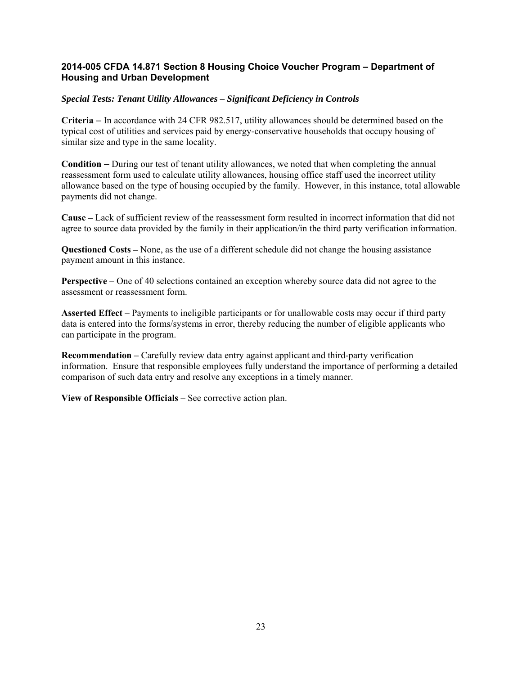#### **2014-005 CFDA 14.871 Section 8 Housing Choice Voucher Program – Department of Housing and Urban Development**

#### *Special Tests: Tenant Utility Allowances* **–** *Significant Deficiency in Controls*

**Criteria –** In accordance with 24 CFR 982.517, utility allowances should be determined based on the typical cost of utilities and services paid by energy-conservative households that occupy housing of similar size and type in the same locality.

**Condition –** During our test of tenant utility allowances, we noted that when completing the annual reassessment form used to calculate utility allowances, housing office staff used the incorrect utility allowance based on the type of housing occupied by the family. However, in this instance, total allowable payments did not change.

**Cause –** Lack of sufficient review of the reassessment form resulted in incorrect information that did not agree to source data provided by the family in their application/in the third party verification information.

**Questioned Costs –** None, as the use of a different schedule did not change the housing assistance payment amount in this instance.

**Perspective –** One of 40 selections contained an exception whereby source data did not agree to the assessment or reassessment form.

**Asserted Effect –** Payments to ineligible participants or for unallowable costs may occur if third party data is entered into the forms/systems in error, thereby reducing the number of eligible applicants who can participate in the program.

**Recommendation** – Carefully review data entry against applicant and third-party verification information. Ensure that responsible employees fully understand the importance of performing a detailed comparison of such data entry and resolve any exceptions in a timely manner.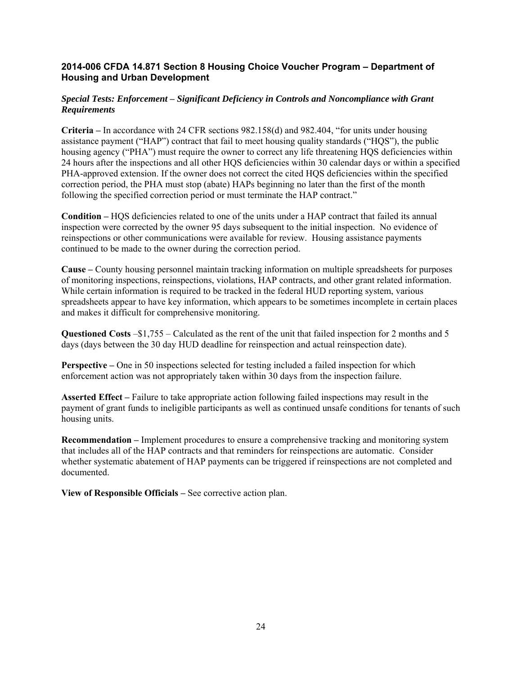#### **2014-006 CFDA 14.871 Section 8 Housing Choice Voucher Program – Department of Housing and Urban Development**

#### *Special Tests: Enforcement* **–** *Significant Deficiency in Controls and Noncompliance with Grant Requirements*

**Criteria –** In accordance with 24 CFR sections 982.158(d) and 982.404, "for units under housing assistance payment ("HAP") contract that fail to meet housing quality standards ("HQS"), the public housing agency ("PHA") must require the owner to correct any life threatening HQS deficiencies within 24 hours after the inspections and all other HQS deficiencies within 30 calendar days or within a specified PHA-approved extension. If the owner does not correct the cited HQS deficiencies within the specified correction period, the PHA must stop (abate) HAPs beginning no later than the first of the month following the specified correction period or must terminate the HAP contract."

**Condition –** HQS deficiencies related to one of the units under a HAP contract that failed its annual inspection were corrected by the owner 95 days subsequent to the initial inspection. No evidence of reinspections or other communications were available for review. Housing assistance payments continued to be made to the owner during the correction period.

**Cause –** County housing personnel maintain tracking information on multiple spreadsheets for purposes of monitoring inspections, reinspections, violations, HAP contracts, and other grant related information. While certain information is required to be tracked in the federal HUD reporting system, various spreadsheets appear to have key information, which appears to be sometimes incomplete in certain places and makes it difficult for comprehensive monitoring.

**Questioned Costs** –\$1,755 – Calculated as the rent of the unit that failed inspection for 2 months and 5 days (days between the 30 day HUD deadline for reinspection and actual reinspection date).

**Perspective** – One in 50 inspections selected for testing included a failed inspection for which enforcement action was not appropriately taken within 30 days from the inspection failure.

**Asserted Effect –** Failure to take appropriate action following failed inspections may result in the payment of grant funds to ineligible participants as well as continued unsafe conditions for tenants of such housing units.

**Recommendation –** Implement procedures to ensure a comprehensive tracking and monitoring system that includes all of the HAP contracts and that reminders for reinspections are automatic. Consider whether systematic abatement of HAP payments can be triggered if reinspections are not completed and documented.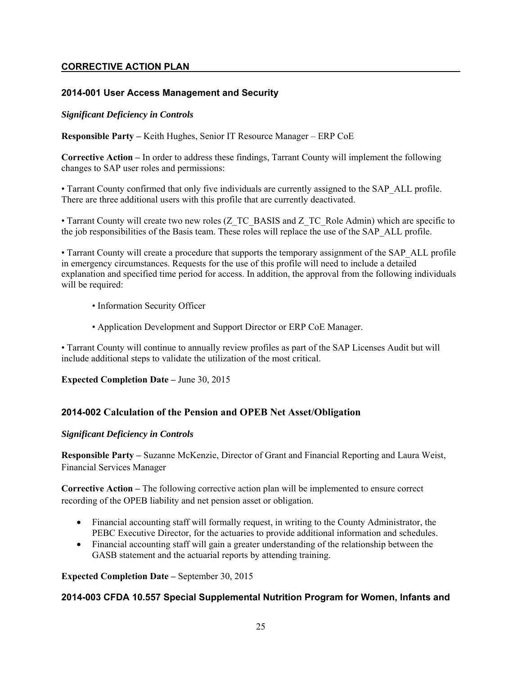# **CORRECTIVE ACTION PLAN**

# **2014-001 User Access Management and Security**

#### *Significant Deficiency in Controls*

**Responsible Party –** Keith Hughes, Senior IT Resource Manager – ERP CoE

**Corrective Action –** In order to address these findings, Tarrant County will implement the following changes to SAP user roles and permissions:

• Tarrant County confirmed that only five individuals are currently assigned to the SAP\_ALL profile. There are three additional users with this profile that are currently deactivated.

• Tarrant County will create two new roles (Z\_TC\_BASIS and Z\_TC\_Role Admin) which are specific to the job responsibilities of the Basis team. These roles will replace the use of the SAP\_ALL profile.

• Tarrant County will create a procedure that supports the temporary assignment of the SAP\_ALL profile in emergency circumstances. Requests for the use of this profile will need to include a detailed explanation and specified time period for access. In addition, the approval from the following individuals will be required:

- Information Security Officer
- Application Development and Support Director or ERP CoE Manager.

• Tarrant County will continue to annually review profiles as part of the SAP Licenses Audit but will include additional steps to validate the utilization of the most critical.

**Expected Completion Date –** June 30, 2015

# **2014-002 Calculation of the Pension and OPEB Net Asset/Obligation**

#### *Significant Deficiency in Controls*

**Responsible Party –** Suzanne McKenzie, Director of Grant and Financial Reporting and Laura Weist, Financial Services Manager

**Corrective Action –** The following corrective action plan will be implemented to ensure correct recording of the OPEB liability and net pension asset or obligation.

- Financial accounting staff will formally request, in writing to the County Administrator, the PEBC Executive Director, for the actuaries to provide additional information and schedules.
- Financial accounting staff will gain a greater understanding of the relationship between the GASB statement and the actuarial reports by attending training.

**Expected Completion Date –** September 30, 2015

# **2014-003 CFDA 10.557 Special Supplemental Nutrition Program for Women, Infants and**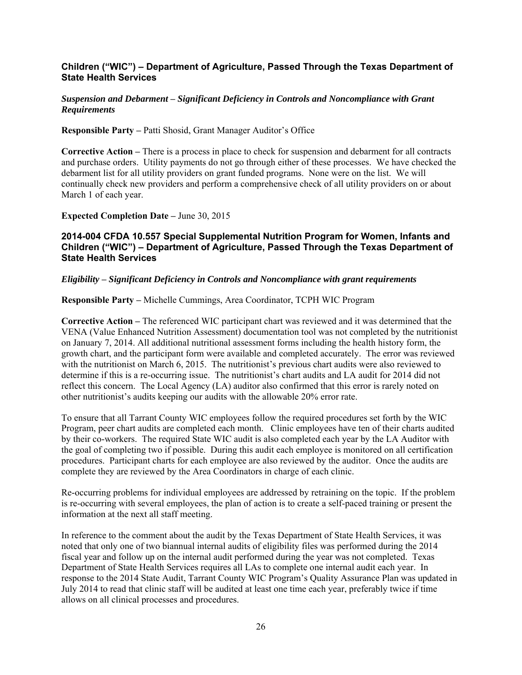## **Children ("WIC") – Department of Agriculture, Passed Through the Texas Department of State Health Services**

#### *Suspension and Debarment* **–** *Significant Deficiency in Controls and Noncompliance with Grant Requirements*

**Responsible Party –** Patti Shosid, Grant Manager Auditor's Office

**Corrective Action –** There is a process in place to check for suspension and debarment for all contracts and purchase orders. Utility payments do not go through either of these processes. We have checked the debarment list for all utility providers on grant funded programs. None were on the list. We will continually check new providers and perform a comprehensive check of all utility providers on or about March 1 of each year.

**Expected Completion Date –** June 30, 2015

#### **2014-004 CFDA 10.557 Special Supplemental Nutrition Program for Women, Infants and Children ("WIC") – Department of Agriculture, Passed Through the Texas Department of State Health Services**

#### *Eligibility* **–** *Significant Deficiency in Controls and Noncompliance with grant requirements*

**Responsible Party –** Michelle Cummings, Area Coordinator, TCPH WIC Program

**Corrective Action –** The referenced WIC participant chart was reviewed and it was determined that the VENA (Value Enhanced Nutrition Assessment) documentation tool was not completed by the nutritionist on January 7, 2014. All additional nutritional assessment forms including the health history form, the growth chart, and the participant form were available and completed accurately. The error was reviewed with the nutritionist on March 6, 2015. The nutritionist's previous chart audits were also reviewed to determine if this is a re-occurring issue. The nutritionist's chart audits and LA audit for 2014 did not reflect this concern. The Local Agency (LA) auditor also confirmed that this error is rarely noted on other nutritionist's audits keeping our audits with the allowable 20% error rate.

To ensure that all Tarrant County WIC employees follow the required procedures set forth by the WIC Program, peer chart audits are completed each month. Clinic employees have ten of their charts audited by their co-workers. The required State WIC audit is also completed each year by the LA Auditor with the goal of completing two if possible. During this audit each employee is monitored on all certification procedures. Participant charts for each employee are also reviewed by the auditor. Once the audits are complete they are reviewed by the Area Coordinators in charge of each clinic.

Re-occurring problems for individual employees are addressed by retraining on the topic. If the problem is re-occurring with several employees, the plan of action is to create a self-paced training or present the information at the next all staff meeting.

In reference to the comment about the audit by the Texas Department of State Health Services, it was noted that only one of two biannual internal audits of eligibility files was performed during the 2014 fiscal year and follow up on the internal audit performed during the year was not completed. Texas Department of State Health Services requires all LAs to complete one internal audit each year. In response to the 2014 State Audit, Tarrant County WIC Program's Quality Assurance Plan was updated in July 2014 to read that clinic staff will be audited at least one time each year, preferably twice if time allows on all clinical processes and procedures.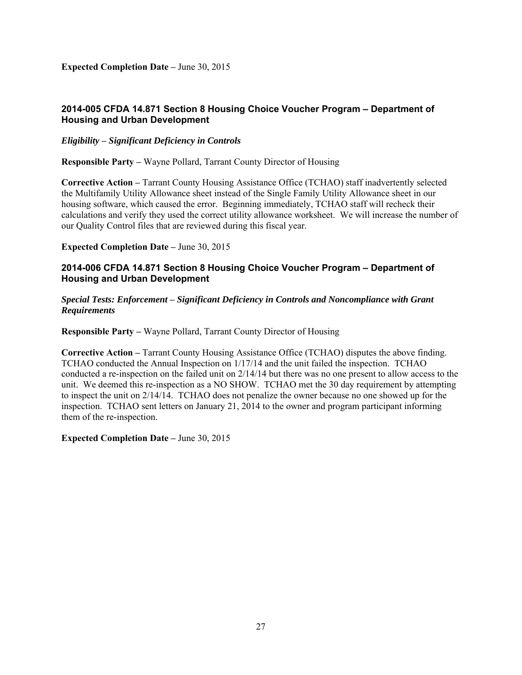**Expected Completion Date –** June 30, 2015

# **2014-005 CFDA 14.871 Section 8 Housing Choice Voucher Program – Department of Housing and Urban Development**

*Eligibility* **–** *Significant Deficiency in Controls* 

**Responsible Party –** Wayne Pollard, Tarrant County Director of Housing

**Corrective Action –** Tarrant County Housing Assistance Office (TCHAO) staff inadvertently selected the Multifamily Utility Allowance sheet instead of the Single Family Utility Allowance sheet in our housing software, which caused the error. Beginning immediately, TCHAO staff will recheck their calculations and verify they used the correct utility allowance worksheet. We will increase the number of our Quality Control files that are reviewed during this fiscal year.

**Expected Completion Date –** June 30, 2015

#### **2014-006 CFDA 14.871 Section 8 Housing Choice Voucher Program – Department of Housing and Urban Development**

#### *Special Tests: Enforcement* **–** *Significant Deficiency in Controls and Noncompliance with Grant Requirements*

**Responsible Party –** Wayne Pollard, Tarrant County Director of Housing

**Corrective Action –** Tarrant County Housing Assistance Office (TCHAO) disputes the above finding. TCHAO conducted the Annual Inspection on 1/17/14 and the unit failed the inspection. TCHAO conducted a re-inspection on the failed unit on 2/14/14 but there was no one present to allow access to the unit. We deemed this re-inspection as a NO SHOW. TCHAO met the 30 day requirement by attempting to inspect the unit on 2/14/14. TCHAO does not penalize the owner because no one showed up for the inspection. TCHAO sent letters on January 21, 2014 to the owner and program participant informing them of the re-inspection.

**Expected Completion Date –** June 30, 2015